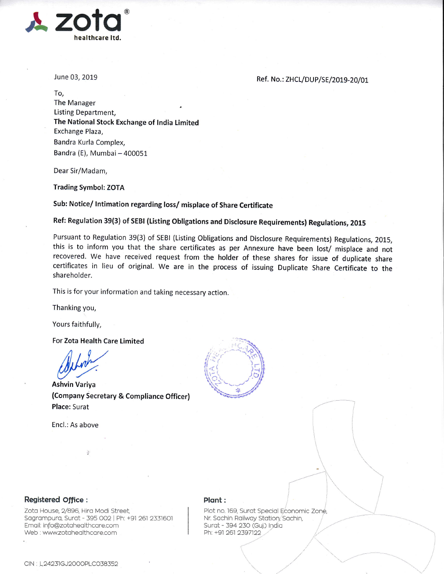

June 03, 2019

Ref. No.: ZHCL/DUP/SE/2019-20/01

To, The Manager Listing Department, The National Stock Exchange of lndia Limited Exchange Plaza, Bandra Kurla Complex, Bandra (E), Mumbai - 400051

Dear Sir/Madam,

Trading Symbol: ZOTA

Sub: Notice/ Intimation regarding loss/ misplace of Share Certificate

Ref: Regulation 39(3) of SEBI (Listing Obligations and Disclosure Requirements) Regulations, <sup>2015</sup>

Pursuant to Regulation 39(3) of SEBI (Listing Obligations and Disclosure Requirements) Regulations, 2015, this is to inform you that the share certificates as per Annexure have been lost/ misplace and not recovered. We have received request from the holder of these shares for issue of duplicate share certificates in lieu of original. We are in the process of issuing Duplicate Share Certificate to the shareholder.

This is for your information and taking necessary action.

Thanking you,

Yours faithfully,

For Zota Health Care Limited

Altreh

(Company Secretary & Compliance Officer) Place: Surat in the contract of the contract of the contract of the contract of the contract of the contract of the contract of the contract of the contract of the contract of the contract of the contract of the contract o

Encl.: As above



## Registered office:

Zota House, 2/896, Hira Modi Street, Sagrampura, Surat - 395 002 | Ph: +91 261 2331601 Emqil: info@zotoheolthcore.com Web : www.zotahealthcare.com

## Plont:

Plot no. 169, Surat Special Economic Zone, Nr. Sachin Railway Station, Sachin, Surat - 394 230 (Guj.) India Ph: +91 261 2397122.  $\backslash$ 

 $\overline{\phantom{a}}$ 

 $\mathbf{L}$  $\overline{\phantom{a}}$  $\angle$  I  $\angle$ 

 $\overline{\phantom{a}}$